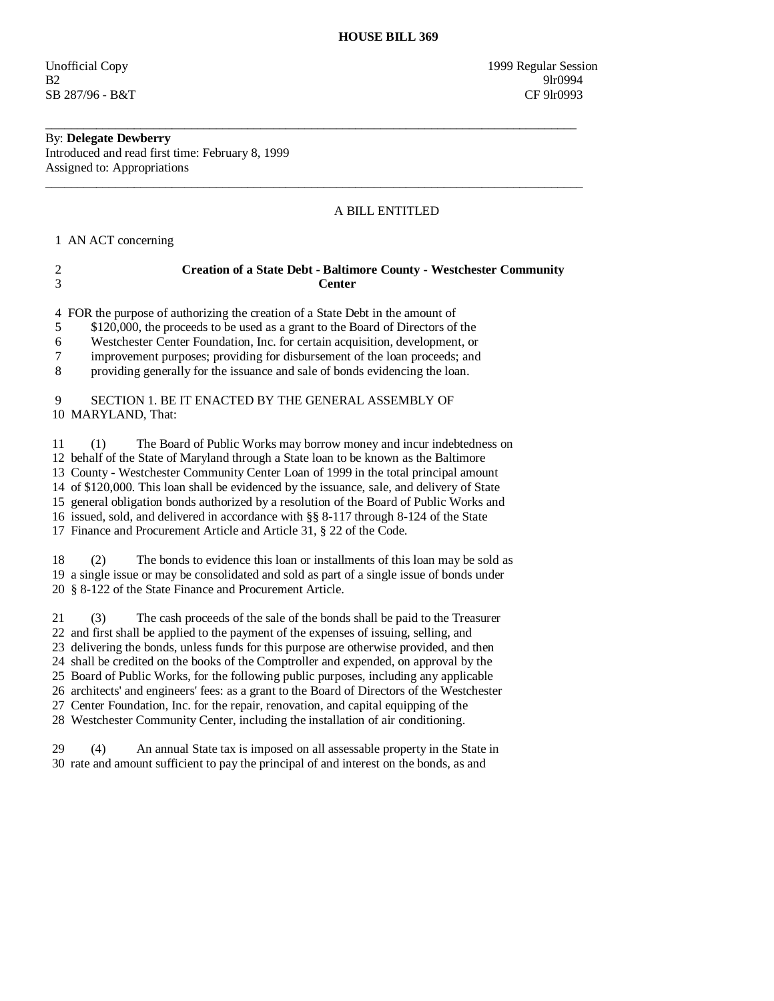Unofficial Copy 1999 Regular Session B2 9lr0994 SB 287/96 - B&T CF 9lr0993

## By: **Delegate Dewberry**

Introduced and read first time: February 8, 1999 Assigned to: Appropriations

#### A BILL ENTITLED

1 AN ACT concerning

# 2 **Creation of a State Debt - Baltimore County - Westchester Community**  3 **Center**

\_\_\_\_\_\_\_\_\_\_\_\_\_\_\_\_\_\_\_\_\_\_\_\_\_\_\_\_\_\_\_\_\_\_\_\_\_\_\_\_\_\_\_\_\_\_\_\_\_\_\_\_\_\_\_\_\_\_\_\_\_\_\_\_\_\_\_\_\_\_\_\_\_\_\_\_\_\_\_\_\_\_\_\_

\_\_\_\_\_\_\_\_\_\_\_\_\_\_\_\_\_\_\_\_\_\_\_\_\_\_\_\_\_\_\_\_\_\_\_\_\_\_\_\_\_\_\_\_\_\_\_\_\_\_\_\_\_\_\_\_\_\_\_\_\_\_\_\_\_\_\_\_\_\_\_\_\_\_\_\_\_\_\_\_\_\_\_\_\_

4 FOR the purpose of authorizing the creation of a State Debt in the amount of

5 \$120,000, the proceeds to be used as a grant to the Board of Directors of the

6 Westchester Center Foundation, Inc. for certain acquisition, development, or

7 improvement purposes; providing for disbursement of the loan proceeds; and

8 providing generally for the issuance and sale of bonds evidencing the loan.

#### 9 SECTION 1. BE IT ENACTED BY THE GENERAL ASSEMBLY OF 10 MARYLAND, That:

 11 (1) The Board of Public Works may borrow money and incur indebtedness on 12 behalf of the State of Maryland through a State loan to be known as the Baltimore 13 County - Westchester Community Center Loan of 1999 in the total principal amount 14 of \$120,000. This loan shall be evidenced by the issuance, sale, and delivery of State 15 general obligation bonds authorized by a resolution of the Board of Public Works and 16 issued, sold, and delivered in accordance with §§ 8-117 through 8-124 of the State 17 Finance and Procurement Article and Article 31, § 22 of the Code.

 18 (2) The bonds to evidence this loan or installments of this loan may be sold as 19 a single issue or may be consolidated and sold as part of a single issue of bonds under 20 § 8-122 of the State Finance and Procurement Article.

 21 (3) The cash proceeds of the sale of the bonds shall be paid to the Treasurer 22 and first shall be applied to the payment of the expenses of issuing, selling, and 23 delivering the bonds, unless funds for this purpose are otherwise provided, and then 24 shall be credited on the books of the Comptroller and expended, on approval by the 25 Board of Public Works, for the following public purposes, including any applicable 26 architects' and engineers' fees: as a grant to the Board of Directors of the Westchester

 27 Center Foundation, Inc. for the repair, renovation, and capital equipping of the 28 Westchester Community Center, including the installation of air conditioning.

29 (4) An annual State tax is imposed on all assessable property in the State in

30 rate and amount sufficient to pay the principal of and interest on the bonds, as and